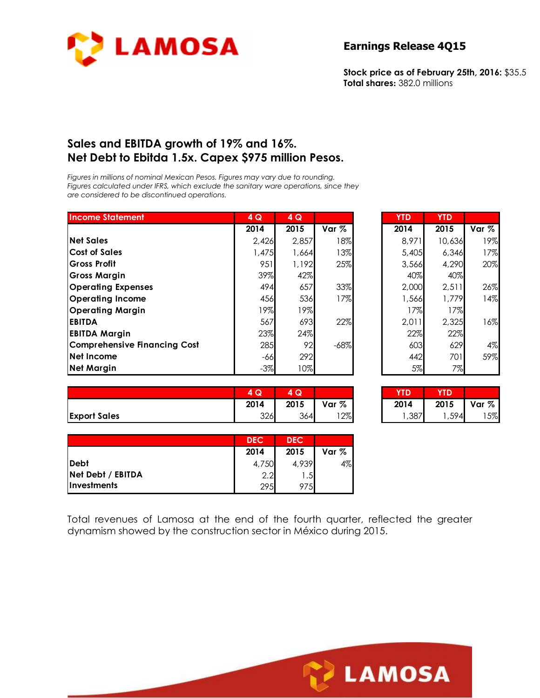

**Stock price as of February 25th, 2016:** \$35.5 **Total shares:** 382.0 millions

#### **Sales and EBITDA growth of 19% and 16%. Net Debt to Ebitda 1.5x. Capex \$975 million Pesos.**

*Figures in millions of nominal Mexican Pesos. Figures may vary due to rounding. Figures calculated under IFRS, which exclude the sanitary ware operations, since they are considered to be discontinued operations.* 

| <b>Income Statement</b>             | 4Q     | 4Q     |        | <b>YTD</b> | <b>YTD</b> |       |
|-------------------------------------|--------|--------|--------|------------|------------|-------|
|                                     | 2014   | 2015   | Var %  | 2014       | 2015       | Var % |
| <b>Net Sales</b>                    | 2,426  | 2,857  | 18%    | 8,971      | 10,636     | 19%   |
| <b>Cost of Sales</b>                | 1,475  | 1,664  | 13%    | 5,405      | 6,346      | 17%   |
| Gross Profit                        | 951    | 1,192  | 25%    | 3.566      | 4,290      | 20%   |
| Gross Margin                        | 39%    | 42%    |        | 40%        | 40%        |       |
| <b>Operating Expenses</b>           | 494    | 657    | 33%    | 2,000      | 2,511      | 26%   |
| <b>Operating Income</b>             | 456    | 536    | 17%    | 566, ا     | 1,779      | 14%   |
| <b>Operating Margin</b>             | 19%    | 19%    |        | 17%        | 17%        |       |
| <b>EBITDA</b>                       | 567    | 693    | 22%    | 2.011      | 2,325      | 16%   |
| <b>EBITDA Margin</b>                | 23%    | 24%    |        | 22%        | 22%        |       |
| <b>Comprehensive Financing Cost</b> | 285    | 92     | $-68%$ | 603        | 629        | 4%    |
| Net Income                          | $-66$  | 292    |        | 442        | 701        | 59%   |
| <b>Net Margin</b>                   | $-3\%$ | $10\%$ |        | 5%         | 7%         |       |

| 4Q    | 4Q    |        | <b>YTD</b> | <b>YTD</b> |       |
|-------|-------|--------|------------|------------|-------|
| 2014  | 2015  | Var %  | 2014       | 2015       | Var % |
| 2,426 | 2,857 | 18%    | 8,971      | 10,636     | 19%   |
| 1,475 | 1,664 | 13%    | 5,405      | 6,346      | 17%   |
| 951   | 1,192 | 25%    | 3,566      | 4,290      | 20%   |
| 39%   | 42%   |        | 40%        | 40%        |       |
| 494   | 657   | 33%    | 2,000      | 2,511      | 26%   |
| 456   | 536   | 17%    | 1,566      | 1,779      | 14%   |
| 19%   | 19%   |        | 17%        | 17%        |       |
| 567   | 693   | 22%    | 2,011      | 2,325      | 16%   |
| 23%   | 24%   |        | 22%        | 22%        |       |
| 285   | 92    | $-68%$ | 603        | 629        | 4%    |
| -66   | 292   |        | 442        | 701        | 59%   |
| $-3%$ | 10%   |        | 5%         | 7%         |       |

|                     | 1 Q  | Q    |       | YTD  | YTD  |       |
|---------------------|------|------|-------|------|------|-------|
|                     | 2014 | 2015 | Var % | 2014 | 2015 | Var % |
| <b>Export Sales</b> | 326  | 364  | $2\%$ | ,387 | ,594 | 5%    |

| 4Q   | IQI<br>Δ |        |      |      |       |
|------|----------|--------|------|------|-------|
| 2014 | 2015     | Var %  | 2014 | 2015 | Var % |
| 326  | 364      | $12\%$ | ,387 | ,594 | 15%   |

|                                  | <b>DEC</b> | <b>DEC</b> |         |
|----------------------------------|------------|------------|---------|
|                                  | 2014       | 2015       | Var $%$ |
| <b>IDebt</b>                     | 4,750      | 4,939      | 4%      |
| Net Debt / EBITDA                | 2.2        |            |         |
| <i><u><b>Investments</b></u></i> | 295        |            |         |

Total revenues of Lamosa at the end of the fourth quarter, reflected the greater dynamism showed by the construction sector in México during 2015.

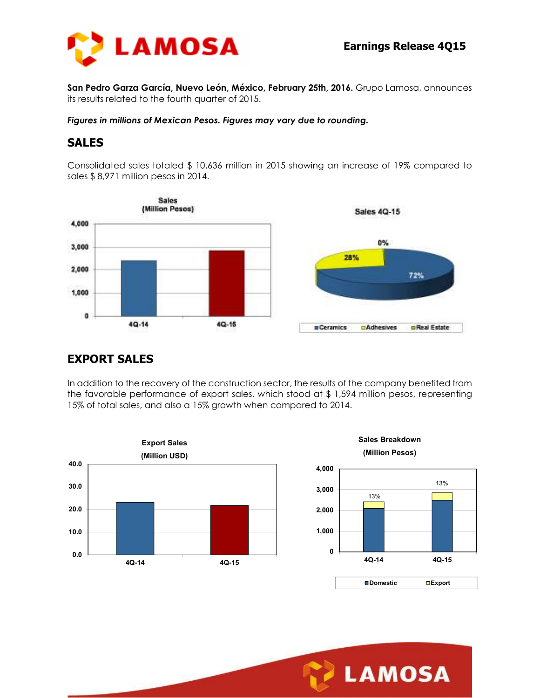

**San Pedro Garza García, Nuevo León, México, February 25th, 2016.** Grupo Lamosa, announces its results related to the fourth quarter of 2015.

*Figures in millions of Mexican Pesos. Figures may vary due to rounding.* 

#### **SALES**

Consolidated sales totaled \$ 10,636 million in 2015 showing an increase of 19% compared to sales \$ 8,971 million pesos in 2014.



# **EXPORT SALES**

In addition to the recovery of the construction sector, the results of the company benefited from the favorable performance of export sales, which stood at \$ 1,594 million pesos, representing 15% of total sales, and also a 15% growth when compared to 2014.



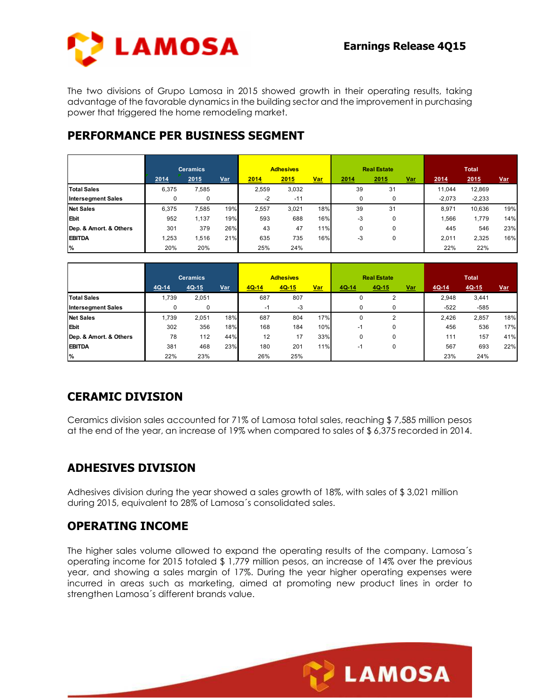

The two divisions of Grupo Lamosa in 2015 showed growth in their operating results, taking advantage of the favorable dynamics in the building sector and the improvement in purchasing power that triggered the home remodeling market.

### **PERFORMANCE PER BUSINESS SEGMENT**

|                           |                                               |       |      |             | <b>Adhesives</b> |                            |          | <b>Real Estate</b>                      |  |            | <b>Total</b> |     |
|---------------------------|-----------------------------------------------|-------|------|-------------|------------------|----------------------------|----------|-----------------------------------------|--|------------|--------------|-----|
|                           | <b>Ceramics</b><br>2014<br>2015<br><u>Var</u> |       | 2014 | Var<br>2015 |                  | 2014<br>2015<br><u>Var</u> |          | 2015<br>2014                            |  | <u>Var</u> |              |     |
| <b>Total Sales</b>        | 6,375                                         | 7,585 |      | 2,559       | 3,032            |                            | 39       | and the control of the control of<br>31 |  | 11.044     | 12,869       |     |
| <b>Intersegment Sales</b> |                                               | 0     |      | $-2$        | $-11$            |                            | 0        | 0                                       |  | $-2,073$   | $-2,233$     |     |
| <b>Net Sales</b>          | 6.375                                         | 7,585 | 19%  | 2.557       | 3,021            | 18%                        | 39       | 31                                      |  | 8.971      | 10.636       | 19% |
| <b>Ebit</b>               | 952                                           | 1,137 | 19%  | 593         | 688              | 16%                        | -3       | 0                                       |  | .566       | 1,779        | 14% |
| Dep. & Amort. & Others    | 301                                           | 379   | 26%  | 43          | 47               | 11%                        | $\Omega$ | 0                                       |  | 445        | 546          | 23% |
| <b>EBITDA</b>             | .253                                          | .516  | 21%  | 635         | 735              | 16%                        | -3       | 0                                       |  | 2,011      | 2,325        | 16% |
| %                         | 20%                                           | 20%   |      | 25%         | 24%              |                            |          |                                         |  | 22%        | 22%          |     |

|                           |       | <b>Ceramics</b> |     | <b>Adhesives</b> |         |     | <b>Real Estate</b> |       |            | <b>Total</b> |         |            |
|---------------------------|-------|-----------------|-----|------------------|---------|-----|--------------------|-------|------------|--------------|---------|------------|
|                           | 4Q-14 | $4Q-15$         | Var | $4Q-14$          | $4Q-15$ | Var | 4Q-14              | 4Q-15 | <u>Var</u> | $4Q-14$      | $4Q-15$ | <u>Var</u> |
| <b>Total Sales</b>        | 1,739 | 2,051           |     | 687              | 807     |     | 0                  | 2     |            | 2,948        | 3,441   |            |
| <b>Intersegment Sales</b> |       |                 |     | -1               | -3      |     | 0                  | 0     |            | $-522$       | $-585$  |            |
| <b>Net Sales</b>          | 1.739 | 2.051           | 18% | 687              | 804     | 17% | 0                  | 2     |            | 2.426        | 2,857   | 18%        |
| Ebit                      | 302   | 356             | 18% | 168              | 184     | 10% | $-1$               | 0     |            | 456          | 536     | 17%        |
| Dep. & Amort. & Others    | 78    | 112             | 44% | 12               | 17      | 33% | 0                  | 0     |            | 111          | 157     | 41%        |
| <b>EBITDA</b>             | 381   | 468             | 23% | 180              | 201     | 11% | -1                 | 0     |            | 567          | 693     | 22%        |
| %                         | 22%   | 23%             |     | 26%              | 25%     |     |                    |       |            | 23%          | 24%     |            |

# **CERAMIC DIVISION**

Ceramics division sales accounted for 71% of Lamosa total sales, reaching \$ 7,585 million pesos at the end of the year, an increase of 19% when compared to sales of \$ 6,375 recorded in 2014.

# **ADHESIVES DIVISION**

Adhesives division during the year showed a sales growth of 18%, with sales of \$ 3,021 million during 2015, equivalent to 28% of Lamosa´s consolidated sales.

#### **OPERATING INCOME**

The higher sales volume allowed to expand the operating results of the company. Lamosa´s operating income for 2015 totaled \$ 1,779 million pesos, an increase of 14% over the previous year, and showing a sales margin of 17%. During the year higher operating expenses were incurred in areas such as marketing, aimed at promoting new product lines in order to strengthen Lamosa´s different brands value.

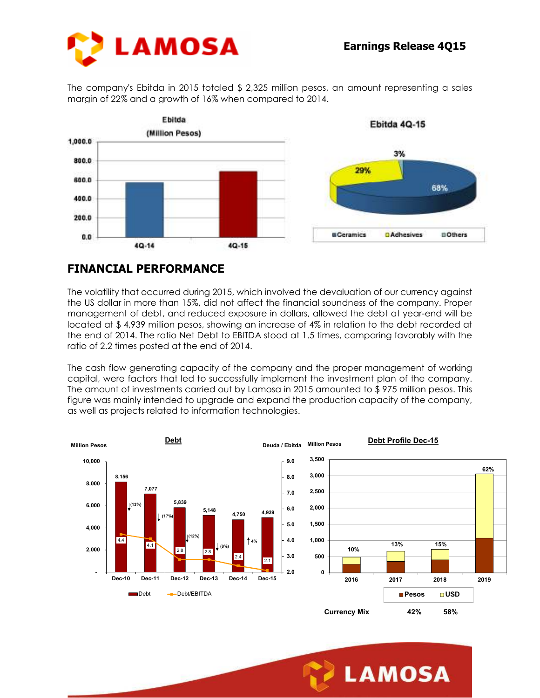

The company's Ebitda in 2015 totaled \$ 2,325 million pesos, an amount representing a sales margin of 22% and a growth of 16% when compared to 2014.



#### **FINANCIAL PERFORMANCE**

The volatility that occurred during 2015, which involved the devaluation of our currency against the US dollar in more than 15%, did not affect the financial soundness of the company. Proper management of debt, and reduced exposure in dollars, allowed the debt at year-end will be located at \$ 4,939 million pesos, showing an increase of 4% in relation to the debt recorded at the end of 2014. The ratio Net Debt to EBITDA stood at 1.5 times, comparing favorably with the ratio of 2.2 times posted at the end of 2014.

The cash flow generating capacity of the company and the proper management of working capital, were factors that led to successfully implement the investment plan of the company. The amount of investments carried out by Lamosa in 2015 amounted to \$ 975 million pesos. This figure was mainly intended to upgrade and expand the production capacity of the company, as well as projects related to information technologies.



**LAMOSA**